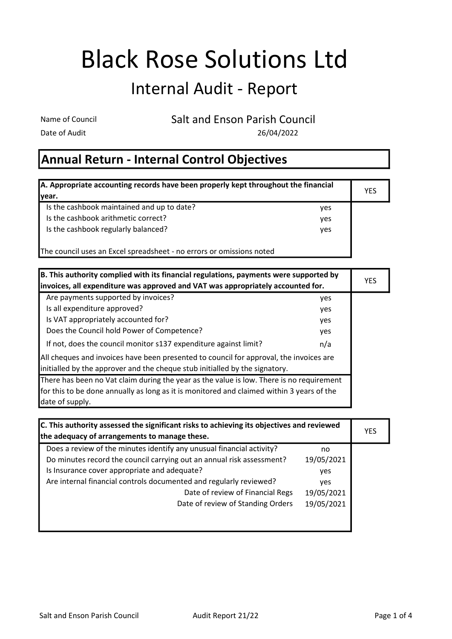## Black Rose Solutions Ltd

## Internal Audit - Report

Name of Council Salt and Enson Parish Council

Date of Audit 26/04/2022

## Annual Return - Internal Control Objectives

| A. Appropriate accounting records have been properly kept throughout the financial |            | <b>YES</b> |
|------------------------------------------------------------------------------------|------------|------------|
| Ivear.                                                                             |            |            |
| Is the cashbook maintained and up to date?                                         | ves        |            |
| Is the cashbook arithmetic correct?                                                | ves        |            |
| Is the cashbook regularly balanced?                                                | <b>ves</b> |            |
| The council uses an Excel spreadsheet - no errors or omissions noted               |            |            |

| B. This authority complied with its financial regulations, payments were supported by<br>invoices, all expenditure was approved and VAT was appropriately accounted for. |     | <b>YES</b> |
|--------------------------------------------------------------------------------------------------------------------------------------------------------------------------|-----|------------|
| Are payments supported by invoices?                                                                                                                                      | yes |            |
| Is all expenditure approved?                                                                                                                                             | yes |            |
| Is VAT appropriately accounted for?                                                                                                                                      | yes |            |
| Does the Council hold Power of Competence?                                                                                                                               | yes |            |
| If not, does the council monitor s137 expenditure against limit?                                                                                                         | n/a |            |
| All cheques and invoices have been presented to council for approval, the invoices are<br>initialled by the approver and the cheque stub initialled by the signatory.    |     |            |
| There has been no Vat claim during the year as the value is low. There is no requirement                                                                                 |     |            |
| for this to be done annually as long as it is monitored and claimed within 3 years of the                                                                                |     |            |
| date of supply.                                                                                                                                                          |     |            |

| C. This authority assessed the significant risks to achieving its objectives and reviewed |            |     |
|-------------------------------------------------------------------------------------------|------------|-----|
| the adequacy of arrangements to manage these.                                             |            | YES |
| Does a review of the minutes identify any unusual financial activity?                     | no         |     |
| Do minutes record the council carrying out an annual risk assessment?                     | 19/05/2021 |     |
| Is Insurance cover appropriate and adequate?                                              | yes        |     |
| Are internal financial controls documented and regularly reviewed?                        | <b>ves</b> |     |
| Date of review of Financial Regs                                                          | 19/05/2021 |     |
| Date of review of Standing Orders                                                         | 19/05/2021 |     |
|                                                                                           |            |     |
|                                                                                           |            |     |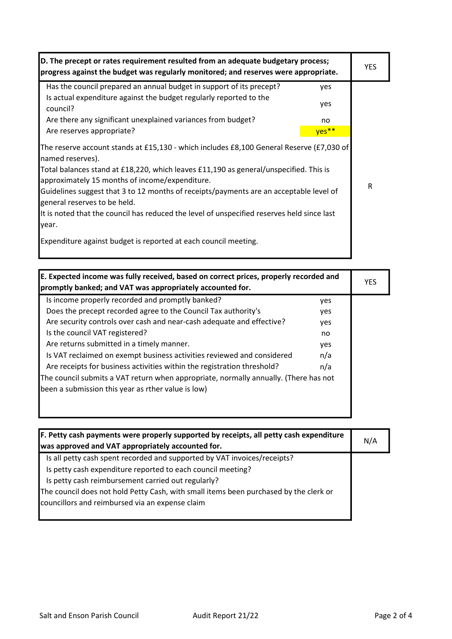| D. The precept or rates requirement resulted from an adequate budgetary process;<br>progress against the budget was regularly monitored; and reserves were appropriate.                                                                                                                                                                                                                                                                                                                                                                                     |       | YES. |
|-------------------------------------------------------------------------------------------------------------------------------------------------------------------------------------------------------------------------------------------------------------------------------------------------------------------------------------------------------------------------------------------------------------------------------------------------------------------------------------------------------------------------------------------------------------|-------|------|
| Has the council prepared an annual budget in support of its precept?                                                                                                                                                                                                                                                                                                                                                                                                                                                                                        | yes   |      |
| Is actual expenditure against the budget regularly reported to the<br>council?                                                                                                                                                                                                                                                                                                                                                                                                                                                                              | yes   |      |
| Are there any significant unexplained variances from budget?                                                                                                                                                                                                                                                                                                                                                                                                                                                                                                | no    |      |
| Are reserves appropriate?                                                                                                                                                                                                                                                                                                                                                                                                                                                                                                                                   | yes** |      |
| The reserve account stands at £15,130 - which includes £8,100 General Reserve (£7,030 of<br>named reserves).<br>Total balances stand at £18,220, which leaves £11,190 as general/unspecified. This is<br>approximately 15 months of income/expenditure.<br>Guidelines suggest that 3 to 12 months of receipts/payments are an acceptable level of<br>general reserves to be held.<br>It is noted that the council has reduced the level of unspecified reserves held since last<br>year.<br>Expenditure against budget is reported at each council meeting. |       | R    |

| E. Expected income was fully received, based on correct prices, properly recorded and<br>promptly banked; and VAT was appropriately accounted for. |            | <b>YES</b> |
|----------------------------------------------------------------------------------------------------------------------------------------------------|------------|------------|
| Is income properly recorded and promptly banked?                                                                                                   | yes        |            |
| Does the precept recorded agree to the Council Tax authority's                                                                                     | <b>ves</b> |            |
| Are security controls over cash and near-cash adequate and effective?                                                                              | yes        |            |
| Is the council VAT registered?                                                                                                                     | no         |            |
| Are returns submitted in a timely manner.                                                                                                          | yes        |            |
| Is VAT reclaimed on exempt business activities reviewed and considered                                                                             | n/a        |            |
| Are receipts for business activities within the registration threshold?                                                                            | n/a        |            |
| The council submits a VAT return when appropriate, normally annually. (There has not                                                               |            |            |
| been a submission this year as rther value is low)                                                                                                 |            |            |
|                                                                                                                                                    |            |            |
|                                                                                                                                                    |            |            |

| F. Petty cash payments were properly supported by receipts, all petty cash expenditure<br>was approved and VAT appropriately accounted for. | N/A |
|---------------------------------------------------------------------------------------------------------------------------------------------|-----|
| Is all petty cash spent recorded and supported by VAT invoices/receipts?                                                                    |     |
| Is petty cash expenditure reported to each council meeting?                                                                                 |     |
| Is petty cash reimbursement carried out regularly?                                                                                          |     |
| The council does not hold Petty Cash, with small items been purchased by the clerk or<br>councillors and reimbursed via an expense claim    |     |
|                                                                                                                                             |     |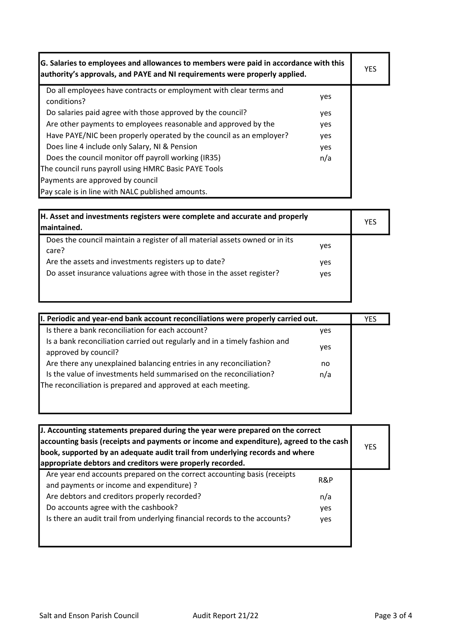| G. Salaries to employees and allowances to members were paid in accordance with this<br>authority's approvals, and PAYE and NI requirements were properly applied. |     | <b>YES</b> |
|--------------------------------------------------------------------------------------------------------------------------------------------------------------------|-----|------------|
| Do all employees have contracts or employment with clear terms and<br>conditions?                                                                                  | yes |            |
| Do salaries paid agree with those approved by the council?                                                                                                         | yes |            |
| Are other payments to employees reasonable and approved by the                                                                                                     | yes |            |
| Have PAYE/NIC been properly operated by the council as an employer?                                                                                                | yes |            |
| Does line 4 include only Salary, NI & Pension                                                                                                                      | yes |            |
| Does the council monitor off payroll working (IR35)                                                                                                                | n/a |            |
| The council runs payroll using HMRC Basic PAYE Tools                                                                                                               |     |            |
| Payments are approved by council                                                                                                                                   |     |            |
| Pay scale is in line with NALC published amounts.                                                                                                                  |     |            |

| <b>H. Asset and investments registers were complete and accurate and properly</b><br>Imaintained. |     | YES |
|---------------------------------------------------------------------------------------------------|-----|-----|
| Does the council maintain a register of all material assets owned or in its<br>care?              | yes |     |
| Are the assets and investments registers up to date?                                              | yes |     |
| Do asset insurance valuations agree with those in the asset register?                             | yes |     |
|                                                                                                   |     |     |
|                                                                                                   |     |     |

| II. Periodic and year-end bank account reconciliations were properly carried out.                  |     | <b>YES</b> |
|----------------------------------------------------------------------------------------------------|-----|------------|
| Is there a bank reconciliation for each account?                                                   | yes |            |
| Is a bank reconciliation carried out regularly and in a timely fashion and<br>approved by council? | yes |            |
| Are there any unexplained balancing entries in any reconciliation?                                 | no  |            |
| Is the value of investments held summarised on the reconciliation?                                 | n/a |            |
| The reconciliation is prepared and approved at each meeting.                                       |     |            |
|                                                                                                    |     |            |
|                                                                                                    |     |            |

| J. Accounting statements prepared during the year were prepared on the correct<br>$\vert$ accounting basis (receipts and payments or income and expenditure), agreed to the cash $\vert$<br>book, supported by an adequate audit trail from underlying records and where<br>appropriate debtors and creditors were properly recorded. |     | <b>YES</b> |
|---------------------------------------------------------------------------------------------------------------------------------------------------------------------------------------------------------------------------------------------------------------------------------------------------------------------------------------|-----|------------|
| Are year end accounts prepared on the correct accounting basis (receipts<br>and payments or income and expenditure) ?                                                                                                                                                                                                                 | R&P |            |
| Are debtors and creditors properly recorded?                                                                                                                                                                                                                                                                                          | n/a |            |
| Do accounts agree with the cashbook?                                                                                                                                                                                                                                                                                                  | yes |            |
| Is there an audit trail from underlying financial records to the accounts?                                                                                                                                                                                                                                                            | yes |            |
|                                                                                                                                                                                                                                                                                                                                       |     |            |